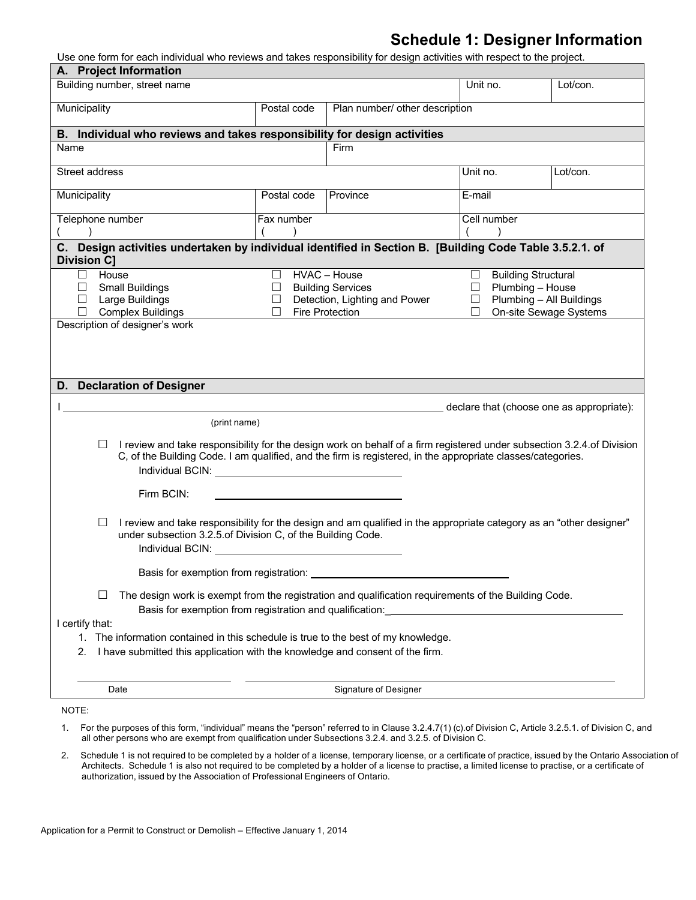### **Schedule 1: Designer Information**

Use one form for each individual who reviews and takes responsibility for design activities with respect to the project.

| A. Project Information<br>Building number, street name                                                                                                                                                                                              |             |                                                                                                                                                                                                                                       | Unit no.    | Lot/con.                                     |
|-----------------------------------------------------------------------------------------------------------------------------------------------------------------------------------------------------------------------------------------------------|-------------|---------------------------------------------------------------------------------------------------------------------------------------------------------------------------------------------------------------------------------------|-------------|----------------------------------------------|
| Municipality                                                                                                                                                                                                                                        | Postal code | Plan number/ other description                                                                                                                                                                                                        |             |                                              |
| B. Individual who reviews and takes responsibility for design activities                                                                                                                                                                            |             |                                                                                                                                                                                                                                       |             |                                              |
| Name                                                                                                                                                                                                                                                |             | Firm                                                                                                                                                                                                                                  |             |                                              |
| Street address                                                                                                                                                                                                                                      |             |                                                                                                                                                                                                                                       | Unit no.    | Lot/con.                                     |
| Municipality                                                                                                                                                                                                                                        | Postal code | Province                                                                                                                                                                                                                              | E-mail      |                                              |
| Telephone number                                                                                                                                                                                                                                    | Fax number  |                                                                                                                                                                                                                                       | Cell number |                                              |
| C. Design activities undertaken by individual identified in Section B. [Building Code Table 3.5.2.1. of<br><b>Division C]</b>                                                                                                                       |             |                                                                                                                                                                                                                                       |             |                                              |
| House<br>ш                                                                                                                                                                                                                                          | ⊔           | HVAC - House                                                                                                                                                                                                                          | □           | <b>Building Structural</b>                   |
| <b>Small Buildings</b><br>⊔<br>Large Buildings<br>⊔                                                                                                                                                                                                 | ப<br>⊔      | <b>Building Services</b><br>Detection, Lighting and Power                                                                                                                                                                             | ⊔           | Plumbing - House<br>Plumbing - All Buildings |
| <b>Complex Buildings</b><br>Description of designer's work                                                                                                                                                                                          | П           | <b>Fire Protection</b>                                                                                                                                                                                                                |             | On-site Sewage Systems                       |
|                                                                                                                                                                                                                                                     |             |                                                                                                                                                                                                                                       |             |                                              |
| (print name)<br>ш<br>Individual BCIN: New York Changes and Changes and Changes and Changes and Changes and Changes and Changes and Changes and Changes and Changes and Changes and Changes and Changes and Changes and Changes and Changes and Chan |             | I review and take responsibility for the design work on behalf of a firm registered under subsection 3.2.4 of Division<br>C, of the Building Code. I am qualified, and the firm is registered, in the appropriate classes/categories. |             |                                              |
| Firm BCIN:                                                                                                                                                                                                                                          |             |                                                                                                                                                                                                                                       |             |                                              |
| ப<br>under subsection 3.2.5.of Division C, of the Building Code.<br>Individual BCIN:                                                                                                                                                                |             | I review and take responsibility for the design and am qualified in the appropriate category as an "other designer"                                                                                                                   |             |                                              |
| Basis for exemption from registration:                                                                                                                                                                                                              |             |                                                                                                                                                                                                                                       |             |                                              |
| ш<br>Basis for exemption from registration and qualification:                                                                                                                                                                                       |             | The design work is exempt from the registration and qualification requirements of the Building Code.                                                                                                                                  |             |                                              |
|                                                                                                                                                                                                                                                     |             |                                                                                                                                                                                                                                       |             |                                              |
| 1. The information contained in this schedule is true to the best of my knowledge.<br>I have submitted this application with the knowledge and consent of the firm.<br>2.                                                                           |             |                                                                                                                                                                                                                                       |             | declare that (choose one as appropriate):    |
| D. Declaration of Designer<br>I certify that:<br>Date                                                                                                                                                                                               |             | Signature of Designer                                                                                                                                                                                                                 |             |                                              |

2. Schedule 1 is not required to be completed by a holder of a license, temporary license, or a certificate of practice, issued by the Ontario Association of Architects. Schedule 1 is also not required to be completed by a holder of a license to practise, a limited license to practise, or a certificate of authorization, issued by the Association of Professional Engineers of Ontario.

all other persons who are exempt from qualification under Subsections 3.2.4. and 3.2.5. of Division C.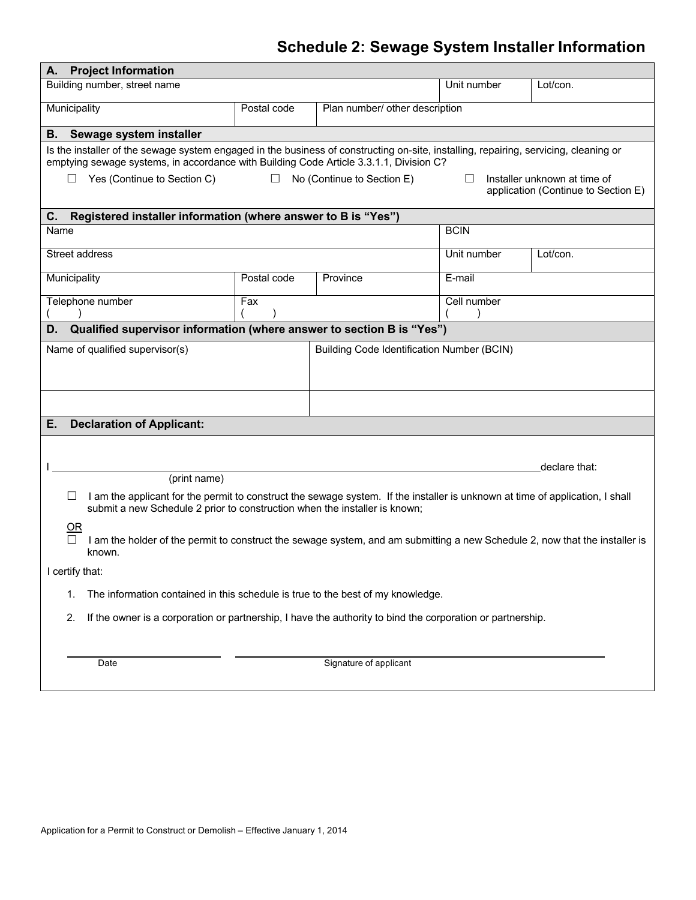## **Schedule 2: Sewage System Installer Information**

| <b>Project Information</b><br>Α.                                                                                                                                                                                                                                                                                                                                                            |                                                                                                            |                                                   |             |               |  |  |  |  |  |  |
|---------------------------------------------------------------------------------------------------------------------------------------------------------------------------------------------------------------------------------------------------------------------------------------------------------------------------------------------------------------------------------------------|------------------------------------------------------------------------------------------------------------|---------------------------------------------------|-------------|---------------|--|--|--|--|--|--|
| Building number, street name                                                                                                                                                                                                                                                                                                                                                                |                                                                                                            |                                                   | Unit number | Lot/con.      |  |  |  |  |  |  |
| Municipality<br>Postal code<br>Plan number/ other description                                                                                                                                                                                                                                                                                                                               |                                                                                                            |                                                   |             |               |  |  |  |  |  |  |
| Sewage system installer<br>В.                                                                                                                                                                                                                                                                                                                                                               |                                                                                                            |                                                   |             |               |  |  |  |  |  |  |
| Is the installer of the sewage system engaged in the business of constructing on-site, installing, repairing, servicing, cleaning or<br>emptying sewage systems, in accordance with Building Code Article 3.3.1.1, Division C?<br>Installer unknown at time of<br>Yes (Continue to Section C)<br>$\Box$<br>No (Continue to Section E)<br>⊔<br>$\Box$<br>application (Continue to Section E) |                                                                                                            |                                                   |             |               |  |  |  |  |  |  |
| Registered installer information (where answer to B is "Yes")<br>C.                                                                                                                                                                                                                                                                                                                         |                                                                                                            |                                                   |             |               |  |  |  |  |  |  |
| Name                                                                                                                                                                                                                                                                                                                                                                                        |                                                                                                            |                                                   | <b>BCIN</b> |               |  |  |  |  |  |  |
| Street address                                                                                                                                                                                                                                                                                                                                                                              |                                                                                                            |                                                   | Unit number | Lot/con.      |  |  |  |  |  |  |
| Municipality                                                                                                                                                                                                                                                                                                                                                                                | Postal code                                                                                                | Province                                          | E-mail      |               |  |  |  |  |  |  |
| Telephone number                                                                                                                                                                                                                                                                                                                                                                            | Fax                                                                                                        |                                                   | Cell number |               |  |  |  |  |  |  |
| Qualified supervisor information (where answer to section B is "Yes")<br>D.                                                                                                                                                                                                                                                                                                                 |                                                                                                            |                                                   |             |               |  |  |  |  |  |  |
| Name of qualified supervisor(s)                                                                                                                                                                                                                                                                                                                                                             |                                                                                                            | <b>Building Code Identification Number (BCIN)</b> |             |               |  |  |  |  |  |  |
|                                                                                                                                                                                                                                                                                                                                                                                             |                                                                                                            |                                                   |             |               |  |  |  |  |  |  |
| <b>Declaration of Applicant:</b><br>Е.                                                                                                                                                                                                                                                                                                                                                      |                                                                                                            |                                                   |             |               |  |  |  |  |  |  |
|                                                                                                                                                                                                                                                                                                                                                                                             |                                                                                                            |                                                   |             | declare that: |  |  |  |  |  |  |
| (print name)                                                                                                                                                                                                                                                                                                                                                                                |                                                                                                            |                                                   |             |               |  |  |  |  |  |  |
| I am the applicant for the permit to construct the sewage system. If the installer is unknown at time of application, I shall<br>⊔<br>submit a new Schedule 2 prior to construction when the installer is known;                                                                                                                                                                            |                                                                                                            |                                                   |             |               |  |  |  |  |  |  |
| $OR$<br>$\Box$<br>I am the holder of the permit to construct the sewage system, and am submitting a new Schedule 2, now that the installer is<br>known.                                                                                                                                                                                                                                     |                                                                                                            |                                                   |             |               |  |  |  |  |  |  |
| I certify that:                                                                                                                                                                                                                                                                                                                                                                             |                                                                                                            |                                                   |             |               |  |  |  |  |  |  |
| The information contained in this schedule is true to the best of my knowledge.<br>1.                                                                                                                                                                                                                                                                                                       |                                                                                                            |                                                   |             |               |  |  |  |  |  |  |
| 2.                                                                                                                                                                                                                                                                                                                                                                                          | If the owner is a corporation or partnership, I have the authority to bind the corporation or partnership. |                                                   |             |               |  |  |  |  |  |  |
|                                                                                                                                                                                                                                                                                                                                                                                             |                                                                                                            |                                                   |             |               |  |  |  |  |  |  |
| Date                                                                                                                                                                                                                                                                                                                                                                                        |                                                                                                            | Signature of applicant                            |             |               |  |  |  |  |  |  |
|                                                                                                                                                                                                                                                                                                                                                                                             |                                                                                                            |                                                   |             |               |  |  |  |  |  |  |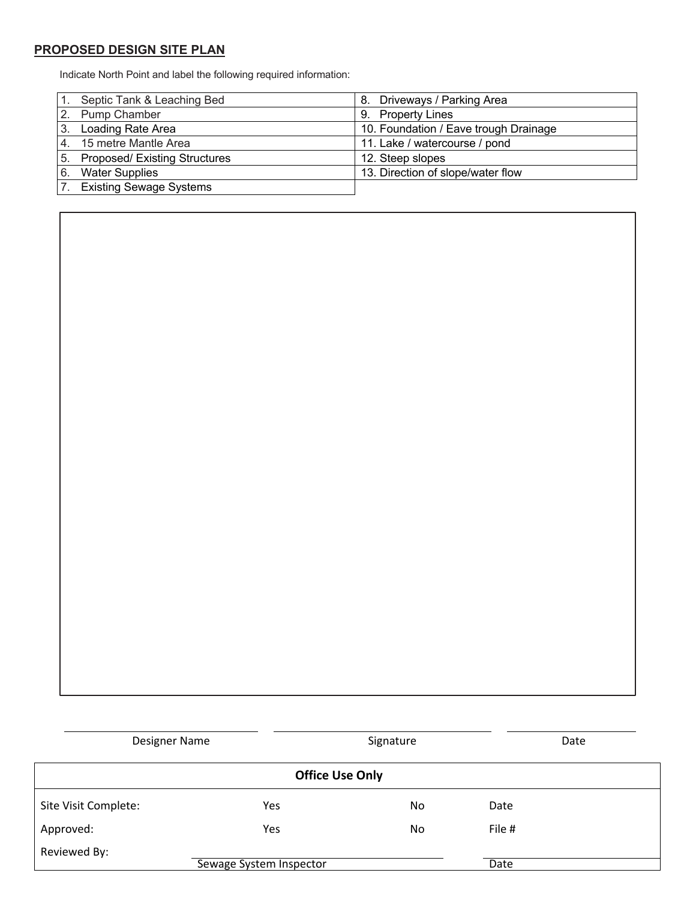#### **PROPOSED DESIGN SITE PLAN**

Indicate North Point and label the following required information:

|    | Septic Tank & Leaching Bed       | 8. Driveways / Parking Area           |
|----|----------------------------------|---------------------------------------|
|    | 2. Pump Chamber                  | 9. Property Lines                     |
|    | 3. Loading Rate Area             | 10. Foundation / Eave trough Drainage |
|    | 4. 15 metre Mantle Area          | 11. Lake / watercourse / pond         |
|    | 5. Proposed/ Existing Structures | 12. Steep slopes                      |
| 6. | <b>Water Supplies</b>            | 13. Direction of slope/water flow     |
|    | <b>Existing Sewage Systems</b>   |                                       |

| Designer Name        |                         | Signature              |        | Date |
|----------------------|-------------------------|------------------------|--------|------|
|                      |                         | <b>Office Use Only</b> |        |      |
| Site Visit Complete: | Yes                     | No                     | Date   |      |
| Approved:            | Yes                     | No.                    | File # |      |
| Reviewed By:         | Sewage System Inspector |                        | Date   |      |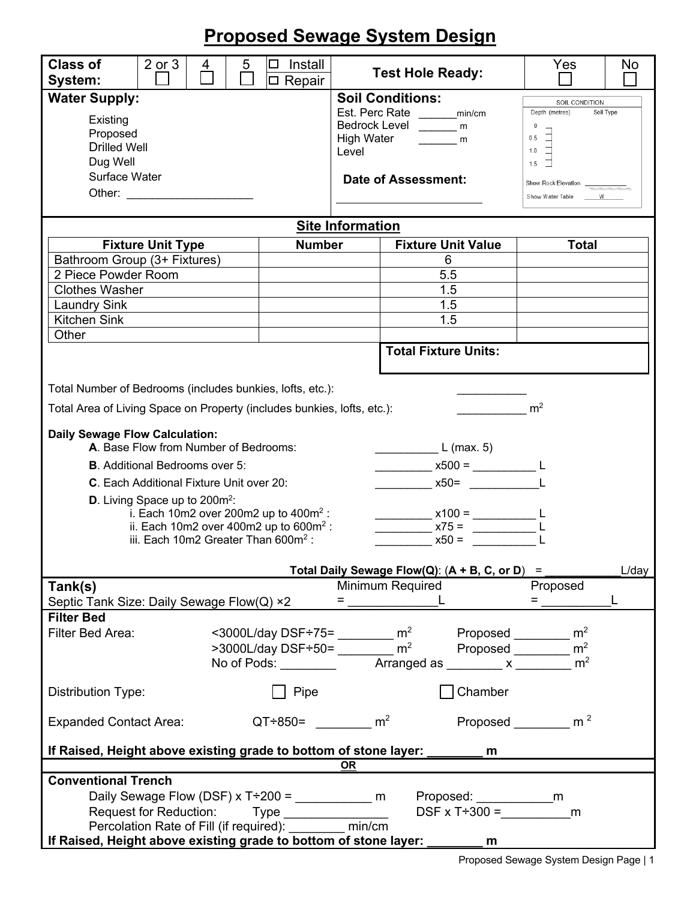# **Proposed Sewage System Design**

| <b>Class of</b><br>System:                                                                                                                                                                                                                                                                                                               | $2$ or $3$                                                                                                                               | 4 | 5 | Install<br>□ Repair |                                                                                                                                                                                                                                                                                                                        | <b>Test Hole Ready:</b>                                                                                        | Yes                                                                                                                                                       | No    |  |  |  |
|------------------------------------------------------------------------------------------------------------------------------------------------------------------------------------------------------------------------------------------------------------------------------------------------------------------------------------------|------------------------------------------------------------------------------------------------------------------------------------------|---|---|---------------------|------------------------------------------------------------------------------------------------------------------------------------------------------------------------------------------------------------------------------------------------------------------------------------------------------------------------|----------------------------------------------------------------------------------------------------------------|-----------------------------------------------------------------------------------------------------------------------------------------------------------|-------|--|--|--|
| <b>Water Supply:</b><br>Existing<br>Proposed<br><b>Drilled Well</b><br>Dug Well<br>Surface Water<br>Other: <u>with the contract of the contract of the contract of the contract of the contract of the contract of the contract of the contract of the contract of the contract of the contract of the contract of the contract of t</u> |                                                                                                                                          |   |   |                     | <b>Soil Conditions:</b><br>Level                                                                                                                                                                                                                                                                                       | Est. Perc Rate ________min/cm<br>Bedrock Level ______ m<br>High Water ________ m<br><b>Date of Assessment:</b> | SOIL CONDITION<br>Depth (metres)<br>Soil Type<br>$\overline{0}$<br>0.5<br>$1.0$ $\Box$<br>$1.5$ $\Box$<br>Show Rock Elevation<br>Show Water Table _____ W |       |  |  |  |
|                                                                                                                                                                                                                                                                                                                                          |                                                                                                                                          |   |   |                     | <b>Site Information</b>                                                                                                                                                                                                                                                                                                |                                                                                                                |                                                                                                                                                           |       |  |  |  |
|                                                                                                                                                                                                                                                                                                                                          | <b>Fixture Unit Type</b>                                                                                                                 |   |   | <b>Number</b>       |                                                                                                                                                                                                                                                                                                                        | <b>Fixture Unit Value</b>                                                                                      | <b>Total</b>                                                                                                                                              |       |  |  |  |
| Bathroom Group (3+ Fixtures)                                                                                                                                                                                                                                                                                                             |                                                                                                                                          |   |   |                     |                                                                                                                                                                                                                                                                                                                        | 6                                                                                                              |                                                                                                                                                           |       |  |  |  |
| 2 Piece Powder Room                                                                                                                                                                                                                                                                                                                      |                                                                                                                                          |   |   |                     |                                                                                                                                                                                                                                                                                                                        | 5.5                                                                                                            |                                                                                                                                                           |       |  |  |  |
| <b>Clothes Washer</b>                                                                                                                                                                                                                                                                                                                    |                                                                                                                                          |   |   |                     |                                                                                                                                                                                                                                                                                                                        | 1.5                                                                                                            |                                                                                                                                                           |       |  |  |  |
| <b>Laundry Sink</b>                                                                                                                                                                                                                                                                                                                      |                                                                                                                                          |   |   |                     |                                                                                                                                                                                                                                                                                                                        | 1.5                                                                                                            |                                                                                                                                                           |       |  |  |  |
| <b>Kitchen Sink</b>                                                                                                                                                                                                                                                                                                                      |                                                                                                                                          |   |   |                     |                                                                                                                                                                                                                                                                                                                        | 1.5                                                                                                            |                                                                                                                                                           |       |  |  |  |
| Other                                                                                                                                                                                                                                                                                                                                    |                                                                                                                                          |   |   |                     |                                                                                                                                                                                                                                                                                                                        |                                                                                                                |                                                                                                                                                           |       |  |  |  |
|                                                                                                                                                                                                                                                                                                                                          |                                                                                                                                          |   |   |                     |                                                                                                                                                                                                                                                                                                                        | <b>Total Fixture Units:</b>                                                                                    |                                                                                                                                                           |       |  |  |  |
| Total Number of Bedrooms (includes bunkies, lofts, etc.):                                                                                                                                                                                                                                                                                |                                                                                                                                          |   |   |                     |                                                                                                                                                                                                                                                                                                                        |                                                                                                                |                                                                                                                                                           |       |  |  |  |
| Total Area of Living Space on Property (includes bunkies, lofts, etc.):                                                                                                                                                                                                                                                                  |                                                                                                                                          |   |   |                     |                                                                                                                                                                                                                                                                                                                        |                                                                                                                | m <sup>2</sup>                                                                                                                                            |       |  |  |  |
| <b>Daily Sewage Flow Calculation:</b><br>A. Base Flow from Number of Bedrooms:<br><b>B.</b> Additional Bedrooms over 5:<br>C. Each Additional Fixture Unit over 20:<br><b>D.</b> Living Space up to $200m^2$ :                                                                                                                           | i. Each 10m2 over 200m2 up to $400m^2$ :<br>ii. Each 10m2 over 400m2 up to $600m^2$ :<br>iii. Each 10m2 Greater Than 600m <sup>2</sup> : |   |   |                     |                                                                                                                                                                                                                                                                                                                        | $L$ (max. 5)<br>$x500 =$ _________________ L<br>$x50=$<br>$x100 =$<br>$x75 =$<br>$x50 =$                       |                                                                                                                                                           |       |  |  |  |
|                                                                                                                                                                                                                                                                                                                                          |                                                                                                                                          |   |   |                     |                                                                                                                                                                                                                                                                                                                        | Total Daily Sewage Flow(Q): $(A + B, C, or D) =$                                                               |                                                                                                                                                           | L/day |  |  |  |
| Tank(s)                                                                                                                                                                                                                                                                                                                                  |                                                                                                                                          |   |   |                     | Minimum Required                                                                                                                                                                                                                                                                                                       |                                                                                                                | Proposed                                                                                                                                                  |       |  |  |  |
| Septic Tank Size: Daily Sewage Flow(Q) ×2                                                                                                                                                                                                                                                                                                |                                                                                                                                          |   |   |                     | $=$ $\frac{1}{2}$ $\frac{1}{2}$ $\frac{1}{2}$ $\frac{1}{2}$ $\frac{1}{2}$ $\frac{1}{2}$ $\frac{1}{2}$ $\frac{1}{2}$ $\frac{1}{2}$ $\frac{1}{2}$ $\frac{1}{2}$ $\frac{1}{2}$ $\frac{1}{2}$ $\frac{1}{2}$ $\frac{1}{2}$ $\frac{1}{2}$ $\frac{1}{2}$ $\frac{1}{2}$ $\frac{1}{2}$ $\frac{1}{2}$ $\frac{1}{2}$ $\frac{1}{2$ |                                                                                                                | $=$ $\frac{1}{2}$                                                                                                                                         |       |  |  |  |
| <b>Filter Bed</b><br>Filter Bed Area:                                                                                                                                                                                                                                                                                                    |                                                                                                                                          |   |   | No of Pods: $\_\_$  | <3000L/day DSF÷75= ________ m <sup>2</sup><br>$>$ 3000L/day DSF÷50= _________ m <sup>2</sup>                                                                                                                                                                                                                           | Proposed $\_\_\_\_\_\_\_$ m <sup>2</sup><br>Arranged as _________ x _______                                    | Proposed $\frac{1}{2}$ m <sup>2</sup><br>m <sup>2</sup>                                                                                                   |       |  |  |  |
| Distribution Type:                                                                                                                                                                                                                                                                                                                       |                                                                                                                                          |   |   | Pipe                |                                                                                                                                                                                                                                                                                                                        | Chamber                                                                                                        |                                                                                                                                                           |       |  |  |  |
| <b>Expanded Contact Area:</b>                                                                                                                                                                                                                                                                                                            |                                                                                                                                          |   |   |                     | $QT+850=$ m <sup>2</sup>                                                                                                                                                                                                                                                                                               |                                                                                                                | Proposed $\frac{1}{2}$ m <sup>2</sup>                                                                                                                     |       |  |  |  |
| If Raised, Height above existing grade to bottom of stone layer:                                                                                                                                                                                                                                                                         |                                                                                                                                          |   |   |                     |                                                                                                                                                                                                                                                                                                                        | m                                                                                                              |                                                                                                                                                           |       |  |  |  |
|                                                                                                                                                                                                                                                                                                                                          |                                                                                                                                          |   |   |                     | OR                                                                                                                                                                                                                                                                                                                     |                                                                                                                |                                                                                                                                                           |       |  |  |  |
| <b>Conventional Trench</b><br>Request for Reduction: Type _______________<br>Percolation Rate of Fill (if required): _______ min/cm<br>If Raised, Height above existing grade to bottom of stone layer:                                                                                                                                  |                                                                                                                                          |   |   |                     |                                                                                                                                                                                                                                                                                                                        | $DSF \times T \div 300 =$ m<br>m                                                                               |                                                                                                                                                           |       |  |  |  |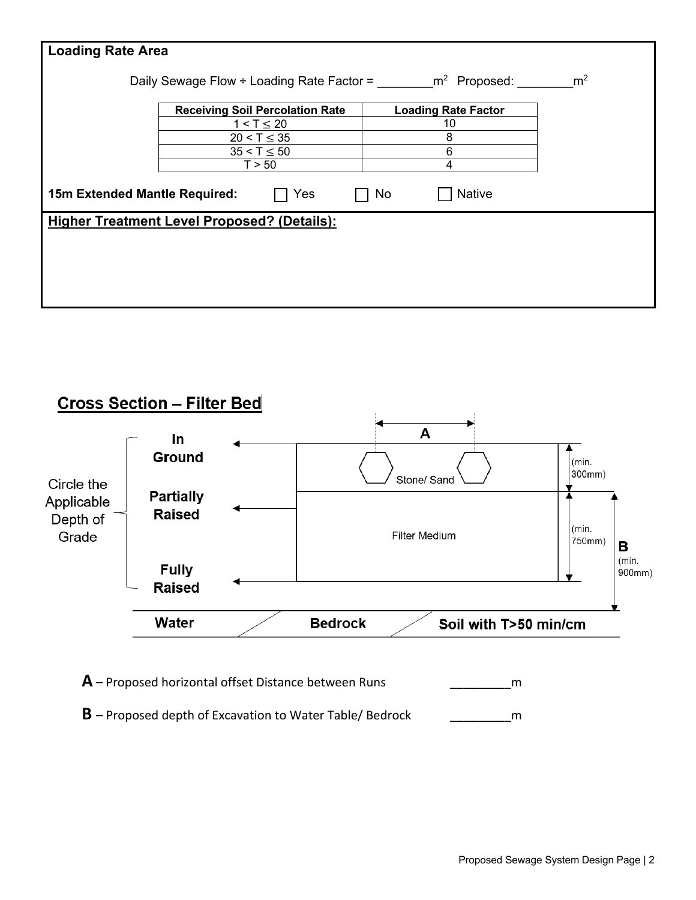| <b>Loading Rate Area</b>      |                                                    |                            |                |
|-------------------------------|----------------------------------------------------|----------------------------|----------------|
|                               |                                                    |                            |                |
|                               | Daily Sewage Flow ÷ Loading Rate Factor =          | m <sup>2</sup> Proposed:   | m <sup>2</sup> |
|                               | <b>Receiving Soil Percolation Rate</b>             | <b>Loading Rate Factor</b> |                |
|                               | $1 < T \le 20$                                     | 10                         |                |
|                               | $20 < T \leq 35$                                   | 8                          |                |
|                               | $35 < T \le 50$                                    | 6                          |                |
|                               | T > 50                                             | 4                          |                |
| 15m Extended Mantle Required: | Yes                                                | <b>Native</b><br>No        |                |
|                               | <b>Higher Treatment Level Proposed? (Details):</b> |                            |                |
|                               |                                                    |                            |                |
|                               |                                                    |                            |                |
|                               |                                                    |                            |                |
|                               |                                                    |                            |                |
|                               |                                                    |                            |                |





**B** – Proposed depth of Excavation to Water Table/ Bedrock \_\_\_\_\_\_\_\_\_m